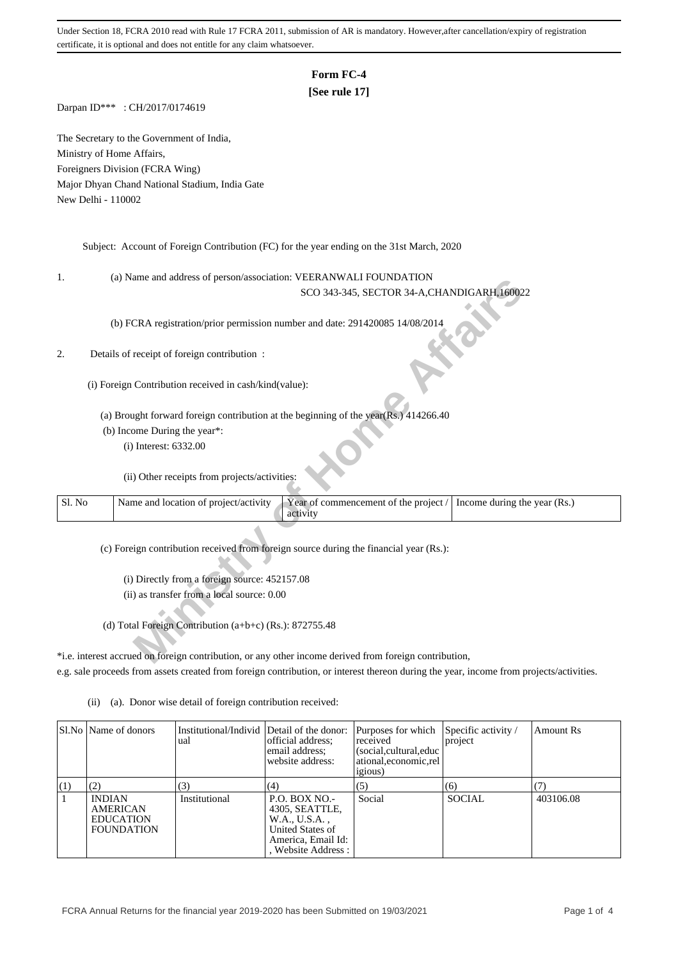Under Section 18, FCRA 2010 read with Rule 17 FCRA 2011, submission of AR is mandatory. However,after cancellation/expiry of registration certificate, it is optional and does not entitle for any claim whatsoever.

# **Form FC-4**

# **[See rule 17]**

Darpan ID\*\*\* : CH/2017/0174619

The Secretary to the Government of India, Ministry of Home Affairs, Foreigners Division (FCRA Wing) Major Dhyan Chand National Stadium, India Gate New Delhi - 110002

Subject: Account of Foreign Contribution (FC) for the year ending on the 31st March, 2020

1. (a) Name and address of person/association: VEERANWALI FOUNDATION

### 2. Details of receipt of foreign contribution :

| ı.     | (a) IValue and address of person/association. VEEKAIVWALITOUNDATION                                            |
|--------|----------------------------------------------------------------------------------------------------------------|
|        | SCO 343-345, SECTOR 34-A, CHANDIGARH, 160022                                                                   |
|        |                                                                                                                |
|        | (b) FCRA registration/prior permission number and date: 291420085 14/08/2014                                   |
|        |                                                                                                                |
| 2.     | Details of receipt of foreign contribution :                                                                   |
|        |                                                                                                                |
|        | (i) Foreign Contribution received in cash/kind(value):                                                         |
|        |                                                                                                                |
|        | (a) Brought forward foreign contribution at the beginning of the year(Rs.) 414266.40                           |
|        | (b) Income During the year*:                                                                                   |
|        | (i) Interest: 6332.00                                                                                          |
|        |                                                                                                                |
|        | (ii) Other receipts from projects/activities:                                                                  |
|        |                                                                                                                |
| Sl. No | Name and location of project/activity<br>Year of commencement of the project /<br>Income during the year (Rs.) |
|        | activity                                                                                                       |
|        |                                                                                                                |
|        | (c) Foreign contribution received from foreign source during the financial year (Rs.):                         |
|        |                                                                                                                |
|        | (i) Directly from a foreign source: 452157.08                                                                  |
|        | (ii) as transfer from a local source: 0.00                                                                     |
|        |                                                                                                                |
|        | (d) Total Foreign Contribution (a+b+c) (Rs.): 872755.48                                                        |
|        |                                                                                                                |
|        | *i.e. interest accrued on foreign contribution, or any other income derived from foreign contribution,         |
|        |                                                                                                                |

\*i.e. interest accrued on foreign contribution, or any other income derived from foreign contribution, e.g. sale proceeds from assets created from foreign contribution, or interest thereon during the year, income from projects/activities.

|     | SLNo Name of donors                                                       | Institutional/Individ Detail of the donor:<br>ual | official address:<br>email address:<br>website address:                                                                  | Purposes for which<br>received<br>(social, cultural, educ<br>ational, economic, rel<br><i>igious</i> ) | Specific activity /<br>project | Amount Rs |
|-----|---------------------------------------------------------------------------|---------------------------------------------------|--------------------------------------------------------------------------------------------------------------------------|--------------------------------------------------------------------------------------------------------|--------------------------------|-----------|
| (1) | (2)                                                                       | (3)                                               | (4)                                                                                                                      | (5)                                                                                                    | (6)                            |           |
|     | <b>INDIAN</b><br><b>AMERICAN</b><br><b>EDUCATION</b><br><b>FOUNDATION</b> | Institutional                                     | <b>P.O. BOX NO.-</b><br>4305, SEATTLE,<br>W.A., U.S.A.,<br>United States of<br>America, Email Id:<br>. Website Address : | Social                                                                                                 | <b>SOCIAL</b>                  | 403106.08 |

(ii) (a). Donor wise detail of foreign contribution received: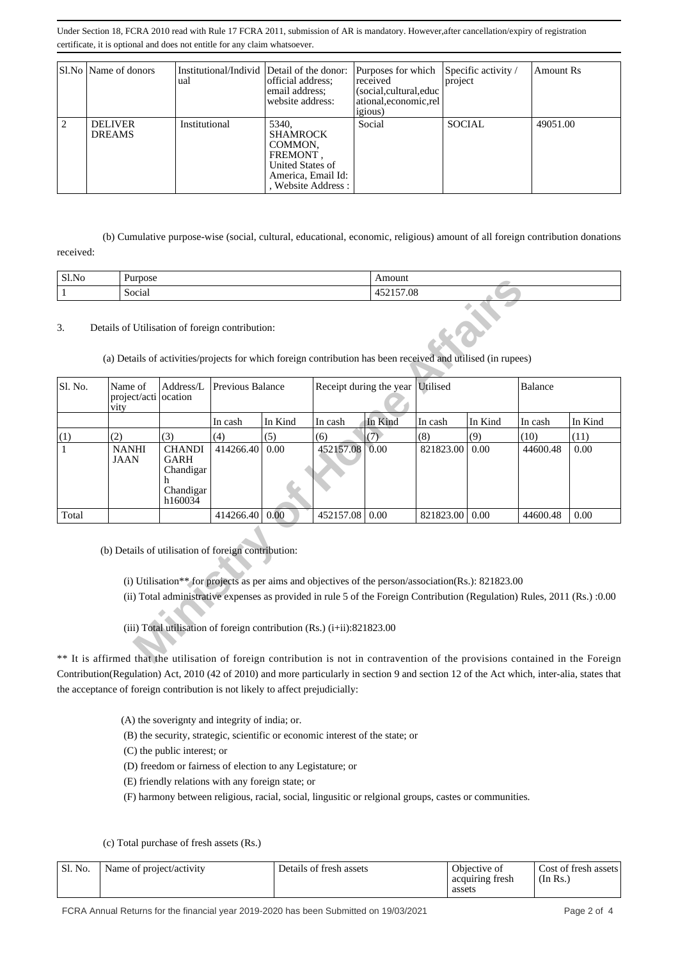Under Section 18, FCRA 2010 read with Rule 17 FCRA 2011, submission of AR is mandatory. However,after cancellation/expiry of registration certificate, it is optional and does not entitle for any claim whatsoever.

|   | Sl.No   Name of donors          | Institutional/Individ Detail of the donor:<br>ual | official address:<br>email address;<br>website address:                                                          | Purposes for which Specific activity /<br>received<br>(social, cultural, educ<br>ational.economic.rel | project       | Amount Rs |
|---|---------------------------------|---------------------------------------------------|------------------------------------------------------------------------------------------------------------------|-------------------------------------------------------------------------------------------------------|---------------|-----------|
| 2 | <b>DELIVER</b><br><b>DREAMS</b> | Institutional                                     | 5340.<br><b>SHAMROCK</b><br>COMMON.<br>FREMONT.<br>United States of<br>America, Email Id:<br>, Website Address : | <i>igious</i> )<br>Social                                                                             | <b>SOCIAL</b> | 49051.00  |

 (b) Cumulative purpose-wise (social, cultural, educational, economic, religious) amount of all foreign contribution donations received:

| Sl.No | <sup>n</sup><br>Purpose | Amount                    |
|-------|-------------------------|---------------------------|
|       | $\sim$<br>Social        | --<br>7.08<br>໋<br>______ |

### 3. Details of Utilisation of foreign contribution:

| <b>DLINO</b><br>rurpose     |                                                            |                         |         |                                                                                                                     |          |                                                                                                                 |                         |           |                                                                                                                                                                                                                                                                                                                                                                                                                                                                                       |
|-----------------------------|------------------------------------------------------------|-------------------------|---------|---------------------------------------------------------------------------------------------------------------------|----------|-----------------------------------------------------------------------------------------------------------------|-------------------------|-----------|---------------------------------------------------------------------------------------------------------------------------------------------------------------------------------------------------------------------------------------------------------------------------------------------------------------------------------------------------------------------------------------------------------------------------------------------------------------------------------------|
| Social<br>$\mathbf{1}$      |                                                            |                         |         |                                                                                                                     |          | 452157.08                                                                                                       |                         |           |                                                                                                                                                                                                                                                                                                                                                                                                                                                                                       |
|                             |                                                            |                         |         |                                                                                                                     |          |                                                                                                                 |                         |           |                                                                                                                                                                                                                                                                                                                                                                                                                                                                                       |
| Name of<br>vity             | Address/L                                                  | <b>Previous Balance</b> |         |                                                                                                                     | Utilised |                                                                                                                 | <b>Balance</b>          |           |                                                                                                                                                                                                                                                                                                                                                                                                                                                                                       |
|                             |                                                            | In cash                 | In Kind | In cash                                                                                                             | In Kind  | In cash                                                                                                         | In Kind                 | In cash   | In Kind                                                                                                                                                                                                                                                                                                                                                                                                                                                                               |
| (2)                         | (3)                                                        | (4)                     | (5)     | (6)                                                                                                                 | (7)      | (8)                                                                                                             | (9)                     | (10)      | (11)                                                                                                                                                                                                                                                                                                                                                                                                                                                                                  |
| <b>NANHI</b><br><b>JAAN</b> | <b>CHANDI</b><br>GARH<br>Chandigar<br>Chandigar<br>h160034 | 414266.40               | 0.00    |                                                                                                                     | 0.00     | 821823.00                                                                                                       | 0.00                    | 44600.48  | 0.00                                                                                                                                                                                                                                                                                                                                                                                                                                                                                  |
|                             |                                                            |                         | 0.00    |                                                                                                                     | 0.00     |                                                                                                                 | 0.00                    | 44600.48  | 0.00                                                                                                                                                                                                                                                                                                                                                                                                                                                                                  |
|                             |                                                            |                         |         |                                                                                                                     |          |                                                                                                                 |                         |           |                                                                                                                                                                                                                                                                                                                                                                                                                                                                                       |
|                             |                                                            | project/acti ocation    |         | Details of Utilisation of foreign contribution:<br>414266.40<br>(b) Details of utilisation of foreign contribution: |          | Allioulit<br>452157.08<br>452157.08<br>(iii) Total utilisation of foreign contribution $(Rs.)$ (i+ii):821823.00 | Receipt during the year | 821823.00 | (a) Details of activities/projects for which foreign contribution has been received and utilised (in rupees)<br>(i) Utilisation** for projects as per aims and objectives of the person/association(Rs.): 821823.00<br>(ii) Total administrative expenses as provided in rule 5 of the Foreign Contribution (Regulation) Rules, 2011 (Rs.) :0.00<br>** It is affirmed that the utilisation of foreign contribution is not in contravention of the provisions contained in the Foreign |

\*\* It is affirmed that the utilisation of foreign contribution is not in contravention of the provisions contained in the Foreign Contribution(Regulation) Act, 2010 (42 of 2010) and more particularly in section 9 and section 12 of the Act which, inter-alia, states that the acceptance of foreign contribution is not likely to affect prejudicially:

- (A) the soverignty and integrity of india; or.
- (B) the security, strategic, scientific or economic interest of the state; or

(C) the public interest; or

- (D) freedom or fairness of election to any Legistature; or
- (E) friendly relations with any foreign state; or
- (F) harmony between religious, racial, social, lingusitic or relgional groups, castes or communities.

(c) Total purchase of fresh assets (Rs.)

| Sl. No. | Name of project/activity | Details of fresh assets | Objective of<br>acquiring fresh | Cost of fresh assets<br>$\pi$ (In Rs.) |
|---------|--------------------------|-------------------------|---------------------------------|----------------------------------------|
|         |                          |                         | assets                          |                                        |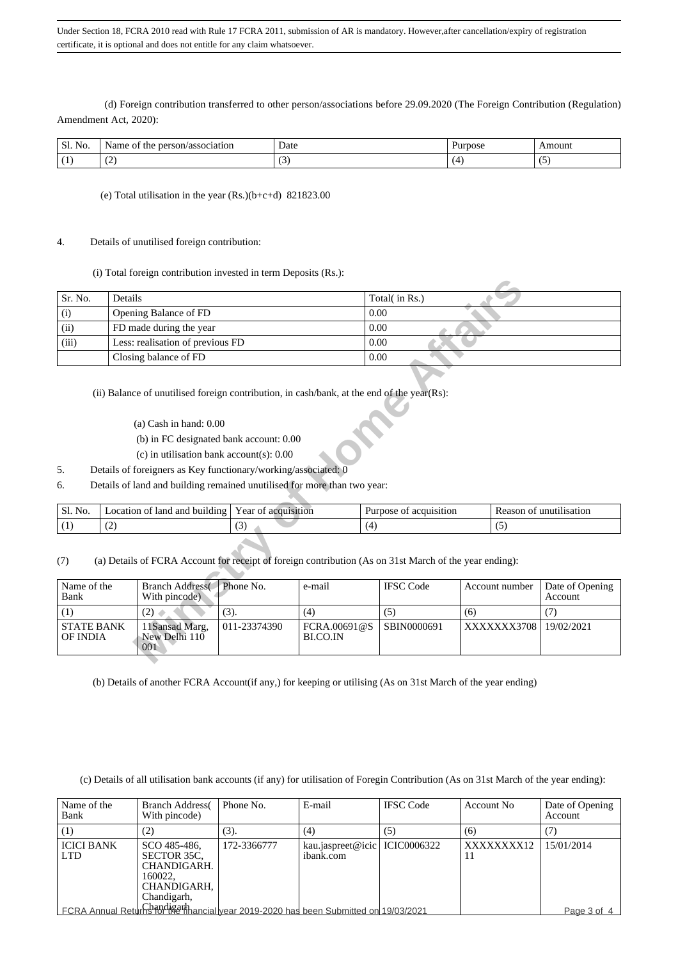Under Section 18, FCRA 2010 read with Rule 17 FCRA 2011, submission of AR is mandatory. However,after cancellation/expiry of registration certificate, it is optional and does not entitle for any claim whatsoever.

 (d) Foreign contribution transferred to other person/associations before 29.09.2020 (The Foreign Contribution (Regulation) Amendment Act, 2020):

| $\sim$ $\sim$<br>Sl.<br>NO. | rson/association<br>Name<br>the<br>per<br>∶ot | Date<br>. | Purpose | Amouni |
|-----------------------------|-----------------------------------------------|-----------|---------|--------|
| . .                         | $\tilde{\phantom{a}}$<br>$\sim$               | ຼ         |         | . .    |

### (e) Total utilisation in the year (Rs.)(b+c+d) 821823.00

#### 4. Details of unutilised foreign contribution:

(i) Total foreign contribution invested in term Deposits (Rs.):

| Sr. No.                       | Details                                                                                                                                                                                                                                                                                                                                                         |                     |                          | Total( in Rs.)         |                |                            |  |  |  |
|-------------------------------|-----------------------------------------------------------------------------------------------------------------------------------------------------------------------------------------------------------------------------------------------------------------------------------------------------------------------------------------------------------------|---------------------|--------------------------|------------------------|----------------|----------------------------|--|--|--|
| (i)                           | Opening Balance of FD                                                                                                                                                                                                                                                                                                                                           |                     |                          | 0.00                   |                |                            |  |  |  |
| (ii)                          | FD made during the year                                                                                                                                                                                                                                                                                                                                         |                     |                          | 0.00                   |                |                            |  |  |  |
| (iii)                         | Less: realisation of previous FD                                                                                                                                                                                                                                                                                                                                |                     |                          | 0.00                   |                |                            |  |  |  |
|                               | Closing balance of FD                                                                                                                                                                                                                                                                                                                                           |                     |                          | 0.00                   |                |                            |  |  |  |
| 5.<br>6.                      | (ii) Balance of unutilised foreign contribution, in cash/bank, at the end of the year(Rs):<br>$(a)$ Cash in hand: $0.00$<br>(b) in FC designated bank account: 0.00<br>$(c)$ in utilisation bank account(s): 0.00<br>Details of foreigners as Key functionary/working/associated: 0<br>Details of land and building remained unutilised for more than two year: |                     |                          |                        |                |                            |  |  |  |
| Sl. No.                       | Location of land and building                                                                                                                                                                                                                                                                                                                                   | Year of acquisition |                          | Purpose of acquisition |                | Reason of unutilisation    |  |  |  |
| (1)                           | (2)                                                                                                                                                                                                                                                                                                                                                             | (3)                 |                          | (4)<br>(5)             |                |                            |  |  |  |
| (7)                           | (a) Details of FCRA Account for receipt of foreign contribution (As on 31st March of the year ending):                                                                                                                                                                                                                                                          |                     |                          |                        |                |                            |  |  |  |
| Name of the<br>Bank           | <b>Branch Address</b><br>With pincode)                                                                                                                                                                                                                                                                                                                          | Phone No.           | e-mail                   | <b>IFSC Code</b>       | Account number | Date of Opening<br>Account |  |  |  |
| (1)                           | (2)                                                                                                                                                                                                                                                                                                                                                             | (3).                | (4)                      | (5)                    | (6)            | (7)                        |  |  |  |
| <b>STATE BANK</b><br>OF INDIA | 11Sansad Marg,<br>New Delhi 110<br>001                                                                                                                                                                                                                                                                                                                          | 011-23374390        | FCRA.00691@S<br>BI.CO.IN | SBIN0000691            | XXXXXXX3708    | 19/02/2021                 |  |  |  |

- (a) Cash in hand: 0.00
- (b) in FC designated bank account: 0.00
- (c) in utilisation bank account(s): 0.00
- 5. Details of foreigners as Key functionary/working/associated: 0
- 6. Details of land and building remained unutilised for more than two year:

| N0.<br>51. | . .<br>land<br>' and<br>ocation of<br>building | acquisition<br>ear<br>ΟĪ | acquisition<br>Purpose<br>ΟĪ | unutilisation<br>Reason of |
|------------|------------------------------------------------|--------------------------|------------------------------|----------------------------|
|            | $\sim$<br>$\cdot$ $\sim$                       | $\sim$<br>ັ              |                              | $\sim$                     |

| Name of the<br>Bank           | <b>Branch Address</b><br>With pincode) | Phone No.    | e-mail                  | <b>IFSC</b> Code | Account number     | Date of Opening<br><b>Account</b> |
|-------------------------------|----------------------------------------|--------------|-------------------------|------------------|--------------------|-----------------------------------|
|                               | (2)                                    | (3).         | (4)                     | (5)              | (6)                |                                   |
| <b>STATE BANK</b><br>OF INDIA | 11Sansad Marg.<br>New Delhi 110<br>001 | 011-23374390 | FCRA.00691@S<br>BLCO.IN | SBIN0000691      | <b>XXXXXXX3708</b> | 19/02/2021                        |

(b) Details of another FCRA Account(if any,) for keeping or utilising (As on 31st March of the year ending)

(c) Details of all utilisation bank accounts (if any) for utilisation of Foregin Contribution (As on 31st March of the year ending):

| Name of the<br>Bank       | <b>Branch Address</b><br>With pincode)                                              | Phone No.   | E-mail                                                                              | <b>IFSC</b> Code | Account No. | Date of Opening<br>Account |
|---------------------------|-------------------------------------------------------------------------------------|-------------|-------------------------------------------------------------------------------------|------------------|-------------|----------------------------|
| (1)                       | (2)                                                                                 | (3).        | (4)                                                                                 | (5)              | (6)         |                            |
| <b>ICICI BANK</b><br>LTD. | SCO 485-486.<br>SECTOR 35C.<br>CHANDIGARH.<br>160022.<br>CHANDIGARH,<br>Chandigarh, | 172-3366777 | kau.jaspreet@icic   ICIC0006322<br>ibank.com                                        |                  | XXXXXXXX12  | 15/01/2014                 |
|                           |                                                                                     |             | FCRA Annual Returnshorting thancial vear 2019-2020 has been Submitted on 19/03/2021 |                  |             | Page 3 of 4                |